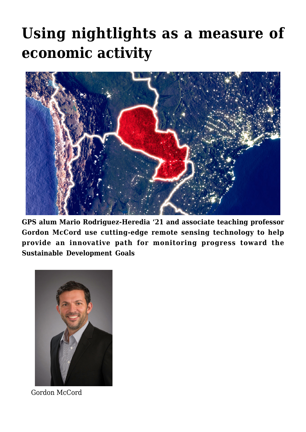## **[Using nightlights as a measure of](https://gpsnews.ucsd.edu/using-nightlights-as-a-measure-of-economic-activity/) [economic activity](https://gpsnews.ucsd.edu/using-nightlights-as-a-measure-of-economic-activity/)**



**GPS alum Mario Rodriguez-Heredia '21 and associate teaching professor Gordon McCord use cutting-edge remote sensing technology to help provide an innovative path for monitoring progress toward the Sustainable Development Goals**



Gordon McCord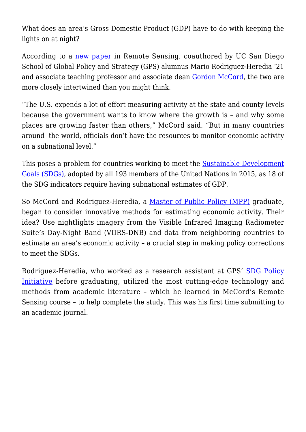What does an area's Gross Domestic Product (GDP) have to do with keeping the lights on at night?

According to a [new paper](https://www.mdpi.com/2072-4292/14/5/1150) in Remote Sensing, coauthored by UC San Diego School of Global Policy and Strategy (GPS) alumnus Mario Rodriguez-Heredia '21 and associate teaching professor and associate dean [Gordon McCord,](https://gps.ucsd.edu/faculty-directory/gordon-mccord.html) the two are more closely intertwined than you might think.

"The U.S. expends a lot of effort measuring activity at the state and county levels because the government wants to know where the growth is – and why some places are growing faster than others," McCord said. "But in many countries around the world, officials don't have the resources to monitor economic activity on a subnational level."

This poses a problem for countries working to meet the [Sustainable Development](https://www.un.org/sustainabledevelopment/) [Goals \(SDGs\)](https://www.un.org/sustainabledevelopment/), adopted by all 193 members of the United Nations in 2015, as 18 of the SDG indicators require having subnational estimates of GDP.

So McCord and Rodriguez-Heredia, a [Master of Public Policy \(MPP\)](https://gps.ucsd.edu/academics/mpp.html) graduate, began to consider innovative methods for estimating economic activity. Their idea? Use nightlights imagery from the Visible Infrared Imaging Radiometer Suite's Day-Night Band (VIIRS-DNB) and data from neighboring countries to estimate an area's economic activity – a crucial step in making policy corrections to meet the SDGs.

Rodriguez-Heredia, who worked as a research assistant at GPS' [SDG Policy](http://sdgpolicyinitiative.org/) [Initiative](http://sdgpolicyinitiative.org/) before graduating, utilized the most cutting-edge technology and methods from academic literature – which he learned in McCord's Remote Sensing course – to help complete the study. This was his first time submitting to an academic journal.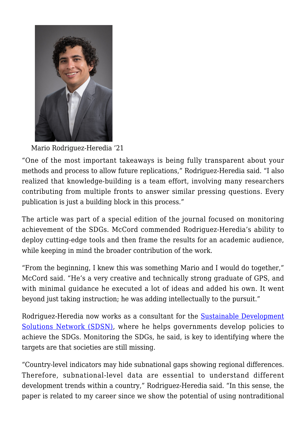

Mario Rodriguez-Heredia '21

"One of the most important takeaways is being fully transparent about your methods and process to allow future replications," Rodriguez-Heredia said. "I also realized that knowledge-building is a team effort, involving many researchers contributing from multiple fronts to answer similar pressing questions. Every publication is just a building block in this process."

The article was part of a special edition of the journal focused on monitoring achievement of the SDGs. McCord commended Rodriguez-Heredia's ability to deploy cutting-edge tools and then frame the results for an academic audience, while keeping in mind the broader contribution of the work.

"From the beginning, I knew this was something Mario and I would do together," McCord said. "He's a very creative and technically strong graduate of GPS, and with minimal guidance he executed a lot of ideas and added his own. It went beyond just taking instruction; he was adding intellectually to the pursuit."

Rodriguez-Heredia now works as a consultant for the **[Sustainable Development](https://www.unsdsn.org/)** [Solutions Network \(SDSN\),](https://www.unsdsn.org/) where he helps governments develop policies to achieve the SDGs. Monitoring the SDGs, he said, is key to identifying where the targets are that societies are still missing.

"Country-level indicators may hide subnational gaps showing regional differences. Therefore, subnational-level data are essential to understand different development trends within a country," Rodriguez-Heredia said. "In this sense, the paper is related to my career since we show the potential of using nontraditional